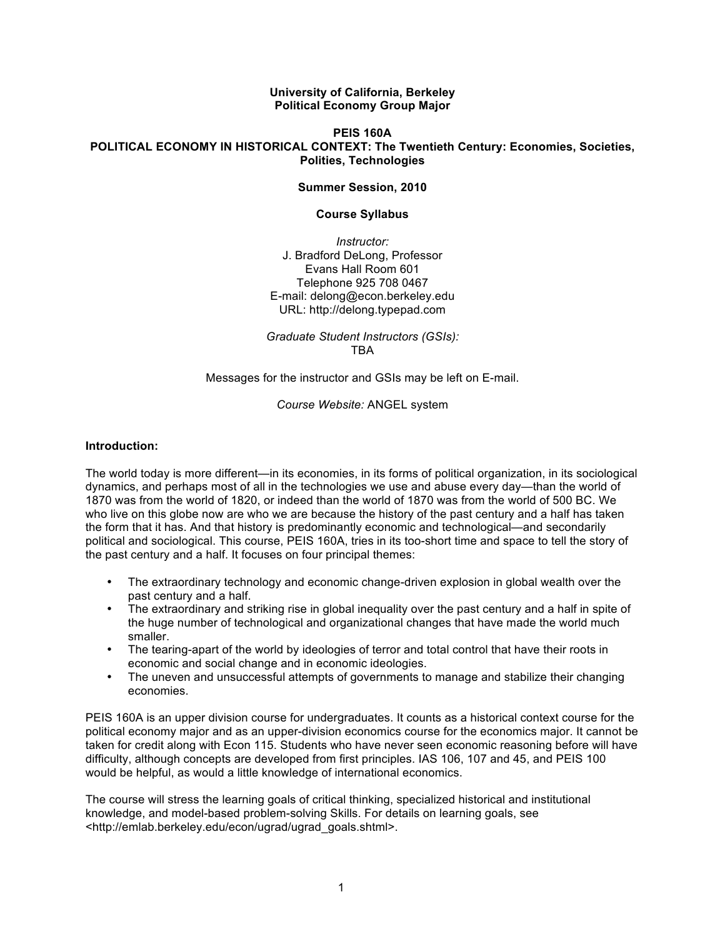**University of California, Berkeley Political Economy Group Major**

#### **PEIS 160A POLITICAL ECONOMY IN HISTORICAL CONTEXT: The Twentieth Century: Economies, Societies, Polities, Technologies**

#### **Summer Session, 2010**

#### **Course Syllabus**

*Instructor:* J. Bradford DeLong, Professor Evans Hall Room 601 Telephone 925 708 0467 E-mail: delong@econ.berkeley.edu URL: http://delong.typepad.com

*Graduate Student Instructors (GSIs):* TBA

Messages for the instructor and GSIs may be left on E-mail.

### *Course Website:* ANGEL system

### **Introduction:**

The world today is more different—in its economies, in its forms of political organization, in its sociological dynamics, and perhaps most of all in the technologies we use and abuse every day—than the world of 1870 was from the world of 1820, or indeed than the world of 1870 was from the world of 500 BC. We who live on this globe now are who we are because the history of the past century and a half has taken the form that it has. And that history is predominantly economic and technological—and secondarily political and sociological. This course, PEIS 160A, tries in its too-short time and space to tell the story of the past century and a half. It focuses on four principal themes:

- The extraordinary technology and economic change-driven explosion in global wealth over the past century and a half.
- The extraordinary and striking rise in global inequality over the past century and a half in spite of the huge number of technological and organizational changes that have made the world much smaller.
- The tearing-apart of the world by ideologies of terror and total control that have their roots in economic and social change and in economic ideologies.
- The uneven and unsuccessful attempts of governments to manage and stabilize their changing economies.

PEIS 160A is an upper division course for undergraduates. It counts as a historical context course for the political economy major and as an upper-division economics course for the economics major. It cannot be taken for credit along with Econ 115. Students who have never seen economic reasoning before will have difficulty, although concepts are developed from first principles. IAS 106, 107 and 45, and PEIS 100 would be helpful, as would a little knowledge of international economics.

The course will stress the learning goals of critical thinking, specialized historical and institutional knowledge, and model-based problem-solving Skills. For details on learning goals, see <http://emlab.berkeley.edu/econ/ugrad/ugrad\_goals.shtml>.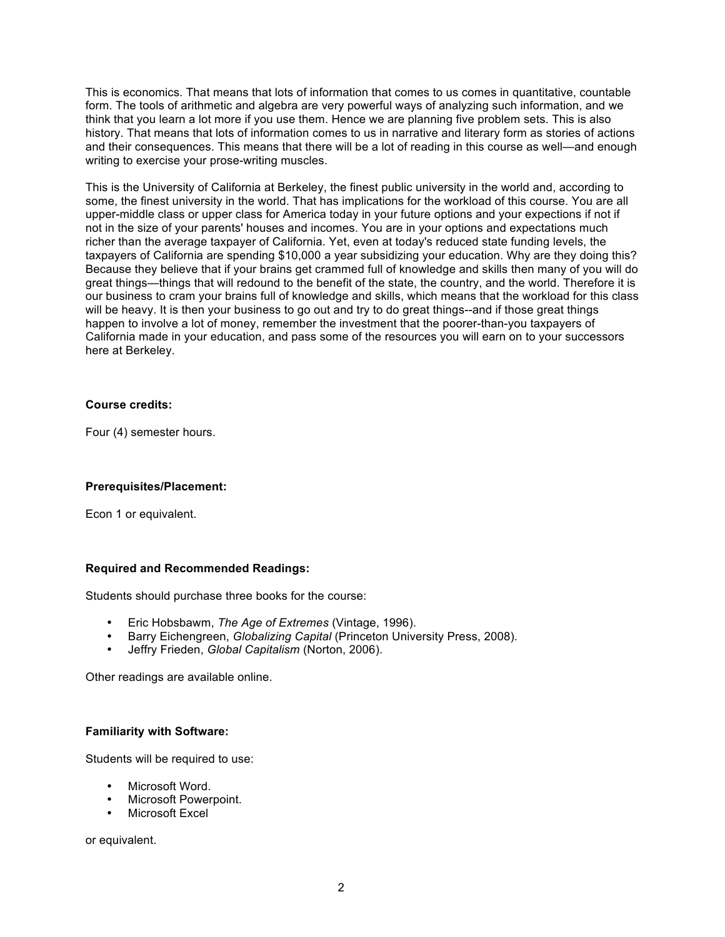This is economics. That means that lots of information that comes to us comes in quantitative, countable form. The tools of arithmetic and algebra are very powerful ways of analyzing such information, and we think that you learn a lot more if you use them. Hence we are planning five problem sets. This is also history. That means that lots of information comes to us in narrative and literary form as stories of actions and their consequences. This means that there will be a lot of reading in this course as well—and enough writing to exercise your prose-writing muscles.

This is the University of California at Berkeley, the finest public university in the world and, according to some, the finest university in the world. That has implications for the workload of this course. You are all upper-middle class or upper class for America today in your future options and your expections if not if not in the size of your parents' houses and incomes. You are in your options and expectations much richer than the average taxpayer of California. Yet, even at today's reduced state funding levels, the taxpayers of California are spending \$10,000 a year subsidizing your education. Why are they doing this? Because they believe that if your brains get crammed full of knowledge and skills then many of you will do great things—things that will redound to the benefit of the state, the country, and the world. Therefore it is our business to cram your brains full of knowledge and skills, which means that the workload for this class will be heavy. It is then your business to go out and try to do great things--and if those great things happen to involve a lot of money, remember the investment that the poorer-than-you taxpayers of California made in your education, and pass some of the resources you will earn on to your successors here at Berkeley.

### **Course credits:**

Four (4) semester hours.

# **Prerequisites/Placement:**

Econ 1 or equivalent.

### **Required and Recommended Readings:**

Students should purchase three books for the course:

- Eric Hobsbawm, *The Age of Extremes* (Vintage, 1996).
- Barry Eichengreen, *Globalizing Capital* (Princeton University Press, 2008).
- Jeffry Frieden, *Global Capitalism* (Norton, 2006).

Other readings are available online.

### **Familiarity with Software:**

Students will be required to use:

- Microsoft Word.
- Microsoft Powerpoint.
- Microsoft Excel

or equivalent.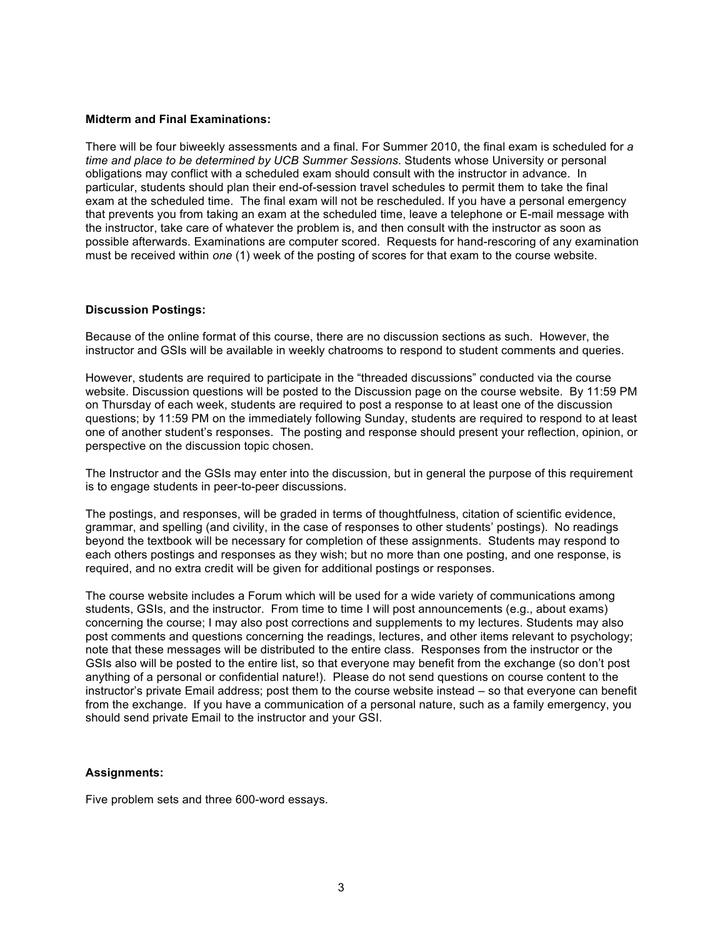#### **Midterm and Final Examinations:**

There will be four biweekly assessments and a final. For Summer 2010, the final exam is scheduled for *a time and place to be determined by UCB Summer Sessions*. Students whose University or personal obligations may conflict with a scheduled exam should consult with the instructor in advance. In particular, students should plan their end-of-session travel schedules to permit them to take the final exam at the scheduled time. The final exam will not be rescheduled. If you have a personal emergency that prevents you from taking an exam at the scheduled time, leave a telephone or E-mail message with the instructor, take care of whatever the problem is, and then consult with the instructor as soon as possible afterwards. Examinations are computer scored. Requests for hand-rescoring of any examination must be received within *one* (1) week of the posting of scores for that exam to the course website.

#### **Discussion Postings:**

Because of the online format of this course, there are no discussion sections as such. However, the instructor and GSIs will be available in weekly chatrooms to respond to student comments and queries.

However, students are required to participate in the "threaded discussions" conducted via the course website. Discussion questions will be posted to the Discussion page on the course website. By 11:59 PM on Thursday of each week, students are required to post a response to at least one of the discussion questions; by 11:59 PM on the immediately following Sunday, students are required to respond to at least one of another student's responses. The posting and response should present your reflection, opinion, or perspective on the discussion topic chosen.

The Instructor and the GSIs may enter into the discussion, but in general the purpose of this requirement is to engage students in peer-to-peer discussions.

The postings, and responses, will be graded in terms of thoughtfulness, citation of scientific evidence, grammar, and spelling (and civility, in the case of responses to other students' postings). No readings beyond the textbook will be necessary for completion of these assignments. Students may respond to each others postings and responses as they wish; but no more than one posting, and one response, is required, and no extra credit will be given for additional postings or responses.

The course website includes a Forum which will be used for a wide variety of communications among students, GSIs, and the instructor. From time to time I will post announcements (e.g., about exams) concerning the course; I may also post corrections and supplements to my lectures. Students may also post comments and questions concerning the readings, lectures, and other items relevant to psychology; note that these messages will be distributed to the entire class. Responses from the instructor or the GSIs also will be posted to the entire list, so that everyone may benefit from the exchange (so don't post anything of a personal or confidential nature!). Please do not send questions on course content to the instructor's private Email address; post them to the course website instead – so that everyone can benefit from the exchange. If you have a communication of a personal nature, such as a family emergency, you should send private Email to the instructor and your GSI.

### **Assignments:**

Five problem sets and three 600-word essays.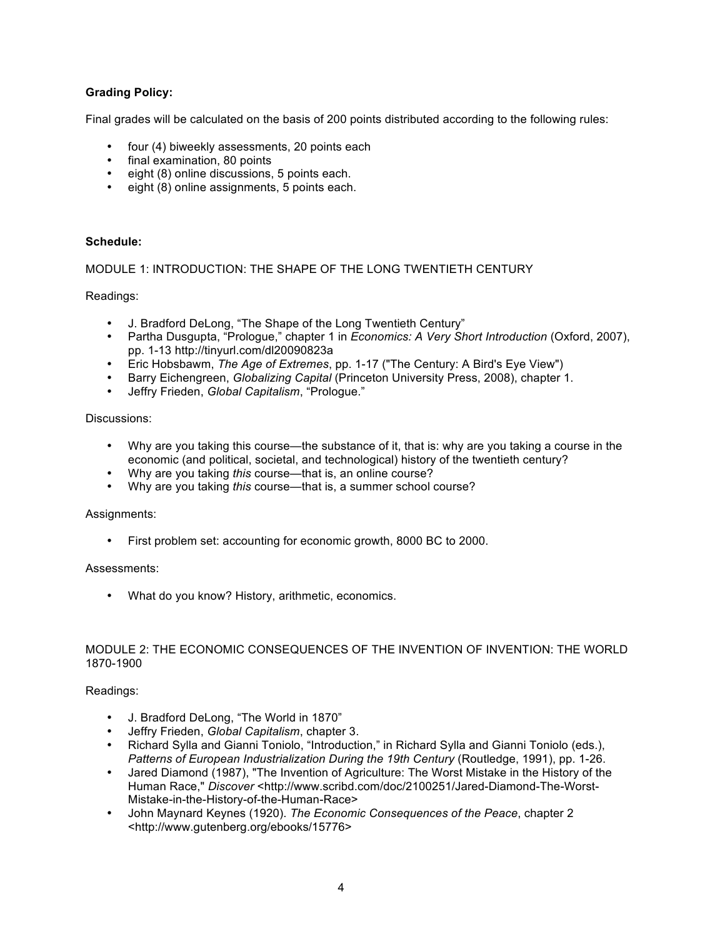# **Grading Policy:**

Final grades will be calculated on the basis of 200 points distributed according to the following rules:

- four (4) biweekly assessments, 20 points each
- final examination, 80 points
- eight (8) online discussions, 5 points each.
- eight (8) online assignments, 5 points each.

## **Schedule:**

## MODULE 1: INTRODUCTION: THE SHAPE OF THE LONG TWENTIETH CENTURY

Readings:

- J. Bradford DeLong, "The Shape of the Long Twentieth Century"
- Partha Dusgupta, "Prologue," chapter 1 in *Economics: A Very Short Introduction* (Oxford, 2007), pp. 1-13 http://tinyurl.com/dl20090823a
- Eric Hobsbawm, *The Age of Extremes*, pp. 1-17 ("The Century: A Bird's Eye View")
- Barry Eichengreen, *Globalizing Capital* (Princeton University Press, 2008), chapter 1.
- Jeffry Frieden, *Global Capitalism*, "Prologue."

### Discussions:

- Why are you taking this course—the substance of it, that is: why are you taking a course in the economic (and political, societal, and technological) history of the twentieth century?
- Why are you taking *this* course—that is, an online course?
- Why are you taking *this* course—that is, a summer school course?

### Assignments:

• First problem set: accounting for economic growth, 8000 BC to 2000.

### Assessments:

• What do you know? History, arithmetic, economics.

### MODULE 2: THE ECONOMIC CONSEQUENCES OF THE INVENTION OF INVENTION: THE WORLD 1870-1900

### Readings:

- J. Bradford DeLong, "The World in 1870"
- Jeffry Frieden, *Global Capitalism*, chapter 3.
- Richard Sylla and Gianni Toniolo, "Introduction," in Richard Sylla and Gianni Toniolo (eds.), *Patterns of European Industrialization During the 19th Century* (Routledge, 1991), pp. 1-26.
- Jared Diamond (1987), "The Invention of Agriculture: The Worst Mistake in the History of the Human Race," *Discover* <http://www.scribd.com/doc/2100251/Jared-Diamond-The-Worst-Mistake-in-the-History-of-the-Human-Race>
- John Maynard Keynes (1920). *The Economic Consequences of the Peace*, chapter 2 <http://www.gutenberg.org/ebooks/15776>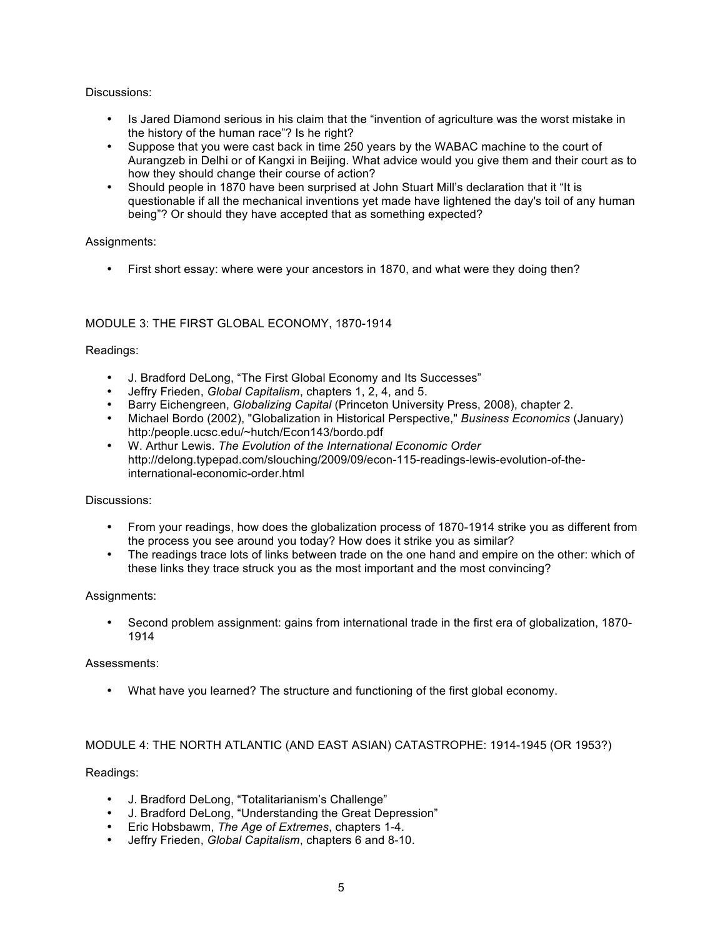## Discussions:

- Is Jared Diamond serious in his claim that the "invention of agriculture was the worst mistake in the history of the human race"? Is he right?
- Suppose that you were cast back in time 250 years by the WABAC machine to the court of Aurangzeb in Delhi or of Kangxi in Beijing. What advice would you give them and their court as to how they should change their course of action?
- Should people in 1870 have been surprised at John Stuart Mill's declaration that it "It is questionable if all the mechanical inventions yet made have lightened the day's toil of any human being"? Or should they have accepted that as something expected?

## Assignments:

• First short essay: where were your ancestors in 1870, and what were they doing then?

# MODULE 3: THE FIRST GLOBAL ECONOMY, 1870-1914

## Readings:

- J. Bradford DeLong, "The First Global Economy and Its Successes"
- Jeffry Frieden, *Global Capitalism*, chapters 1, 2, 4, and 5.
- Barry Eichengreen, *Globalizing Capital* (Princeton University Press, 2008), chapter 2.
- Michael Bordo (2002), "Globalization in Historical Perspective," *Business Economics* (January) http:/people.ucsc.edu/~hutch/Econ143/bordo.pdf
- W. Arthur Lewis. *The Evolution of the International Economic Order* http://delong.typepad.com/slouching/2009/09/econ-115-readings-lewis-evolution-of-theinternational-economic-order.html

### Discussions:

- From your readings, how does the globalization process of 1870-1914 strike you as different from the process you see around you today? How does it strike you as similar?
- The readings trace lots of links between trade on the one hand and empire on the other: which of these links they trace struck you as the most important and the most convincing?

### Assignments:

• Second problem assignment: gains from international trade in the first era of globalization, 1870- 1914

### Assessments:

• What have you learned? The structure and functioning of the first global economy.

### MODULE 4: THE NORTH ATLANTIC (AND EAST ASIAN) CATASTROPHE: 1914-1945 (OR 1953?)

### Readings:

- J. Bradford DeLong, "Totalitarianism's Challenge"
- J. Bradford DeLong, "Understanding the Great Depression"
- Eric Hobsbawm, *The Age of Extremes*, chapters 1-4.
- Jeffry Frieden, *Global Capitalism*, chapters 6 and 8-10.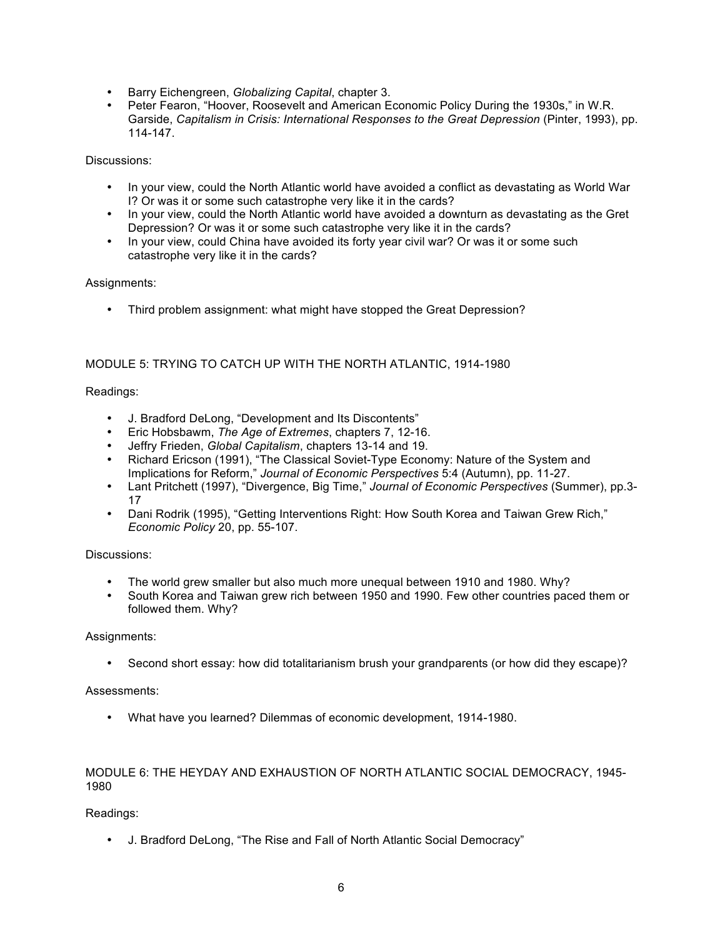- Barry Eichengreen, *Globalizing Capital*, chapter 3.
- Peter Fearon, "Hoover, Roosevelt and American Economic Policy During the 1930s," in W.R. Garside, *Capitalism in Crisis: International Responses to the Great Depression* (Pinter, 1993), pp. 114-147.

Discussions:

- In your view, could the North Atlantic world have avoided a conflict as devastating as World War I? Or was it or some such catastrophe very like it in the cards?
- In your view, could the North Atlantic world have avoided a downturn as devastating as the Gret Depression? Or was it or some such catastrophe very like it in the cards?
- In your view, could China have avoided its forty year civil war? Or was it or some such catastrophe very like it in the cards?

# Assignments:

• Third problem assignment: what might have stopped the Great Depression?

# MODULE 5: TRYING TO CATCH UP WITH THE NORTH ATLANTIC, 1914-1980

## Readings:

- J. Bradford DeLong, "Development and Its Discontents"
- Eric Hobsbawm, *The Age of Extremes*, chapters 7, 12-16.
- Jeffry Frieden, *Global Capitalism*, chapters 13-14 and 19.
- Richard Ericson (1991), "The Classical Soviet-Type Economy: Nature of the System and Implications for Reform," *Journal of Economic Perspectives* 5:4 (Autumn), pp. 11-27.
- Lant Pritchett (1997), "Divergence, Big Time," *Journal of Economic Perspectives* (Summer), pp.3- 17
- Dani Rodrik (1995), "Getting Interventions Right: How South Korea and Taiwan Grew Rich," *Economic Policy* 20, pp. 55-107.

### Discussions:

- The world grew smaller but also much more unequal between 1910 and 1980. Why?
- South Korea and Taiwan grew rich between 1950 and 1990. Few other countries paced them or followed them. Why?

### Assignments:

• Second short essay: how did totalitarianism brush your grandparents (or how did they escape)?

### Assessments:

• What have you learned? Dilemmas of economic development, 1914-1980.

# MODULE 6: THE HEYDAY AND EXHAUSTION OF NORTH ATLANTIC SOCIAL DEMOCRACY, 1945- 1980

# Readings:

• J. Bradford DeLong, "The Rise and Fall of North Atlantic Social Democracy"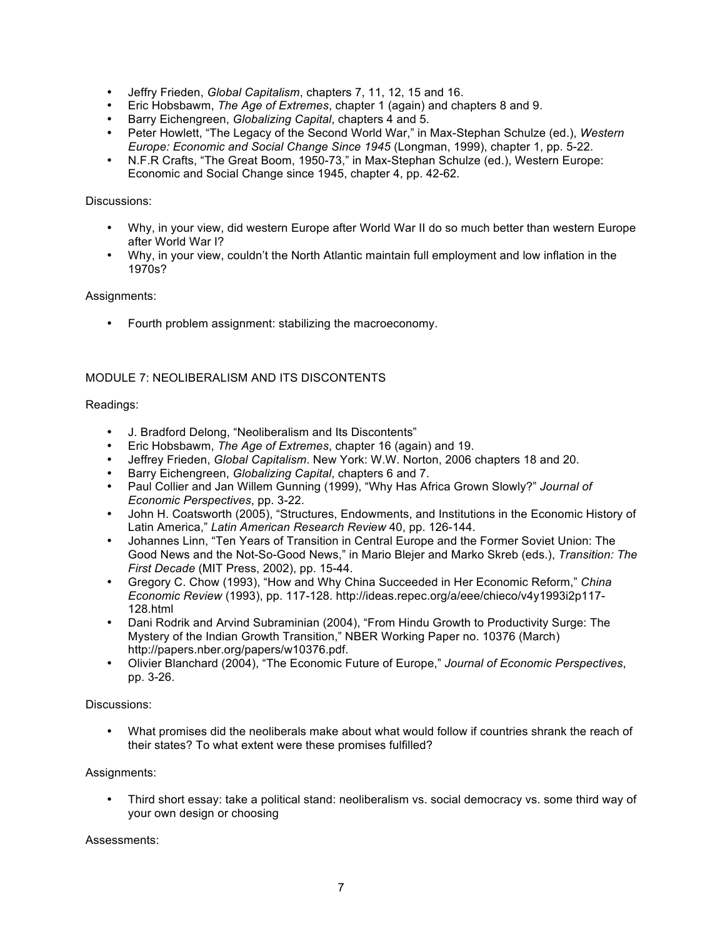- Jeffry Frieden, *Global Capitalism*, chapters 7, 11, 12, 15 and 16.
- Eric Hobsbawm, *The Age of Extremes*, chapter 1 (again) and chapters 8 and 9.
- Barry Eichengreen, *Globalizing Capital*, chapters 4 and 5.
- Peter Howlett, "The Legacy of the Second World War," in Max-Stephan Schulze (ed.), *Western Europe: Economic and Social Change Since 1945* (Longman, 1999), chapter 1, pp. 5-22.
- N.F.R Crafts, "The Great Boom, 1950-73," in Max-Stephan Schulze (ed.), Western Europe: Economic and Social Change since 1945, chapter 4, pp. 42-62.

### Discussions:

- Why, in your view, did western Europe after World War II do so much better than western Europe after World War I?
- Why, in your view, couldn't the North Atlantic maintain full employment and low inflation in the 1970s?

## Assignments:

• Fourth problem assignment: stabilizing the macroeconomy.

# MODULE 7: NEOLIBERALISM AND ITS DISCONTENTS

## Readings:

- J. Bradford Delong, "Neoliberalism and Its Discontents"
- Eric Hobsbawm, *The Age of Extremes*, chapter 16 (again) and 19.
- Jeffrey Frieden, *Global Capitalism*. New York: W.W. Norton, 2006 chapters 18 and 20.
- Barry Eichengreen, *Globalizing Capital*, chapters 6 and 7.
- Paul Collier and Jan Willem Gunning (1999), "Why Has Africa Grown Slowly?" *Journal of Economic Perspectives*, pp. 3-22.
- John H. Coatsworth (2005), "Structures, Endowments, and Institutions in the Economic History of Latin America," *Latin American Research Review* 40, pp. 126-144.
- Johannes Linn, "Ten Years of Transition in Central Europe and the Former Soviet Union: The Good News and the Not-So-Good News," in Mario Blejer and Marko Skreb (eds.), *Transition: The First Decade* (MIT Press, 2002), pp. 15-44.
- Gregory C. Chow (1993), "How and Why China Succeeded in Her Economic Reform," *China Economic Review* (1993), pp. 117-128. http://ideas.repec.org/a/eee/chieco/v4y1993i2p117- 128.html
- Dani Rodrik and Arvind Subraminian (2004), "From Hindu Growth to Productivity Surge: The Mystery of the Indian Growth Transition," NBER Working Paper no. 10376 (March) http://papers.nber.org/papers/w10376.pdf.
- Olivier Blanchard (2004), "The Economic Future of Europe," *Journal of Economic Perspectives*, pp. 3-26.

### Discussions:

• What promises did the neoliberals make about what would follow if countries shrank the reach of their states? To what extent were these promises fulfilled?

### Assignments:

• Third short essay: take a political stand: neoliberalism vs. social democracy vs. some third way of your own design or choosing

Assessments: